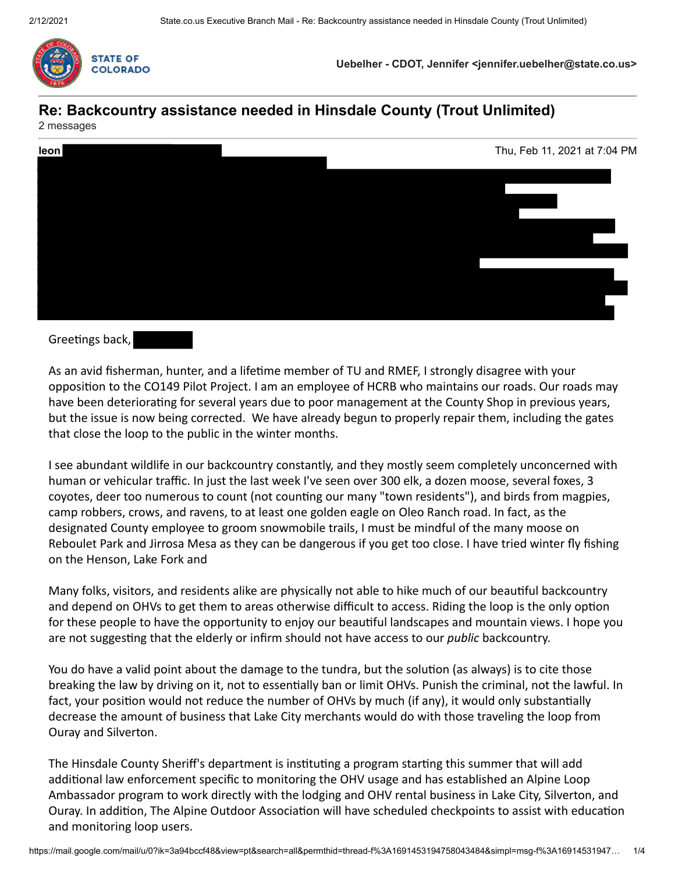

**Uebelher - CDOT, Jennifer <jennifer.uebelher@state.co.us>**

# **Re: Backcountry assistance needed in Hinsdale County (Trout Unlimited)**





# Greetings back,

As an avid fisherman, hunter, and a lifetime member of TU and RMEF, I strongly disagree with your opposition to the CO149 Pilot Project. I am an employee of HCRB who maintains our roads. Our roads may have been deteriorating for several years due to poor management at the County Shop in previous years, but the issue is now being corrected. We have already begun to properly repair them, including the gates that close the loop to the public in the winter months.

I see abundant wildlife in our backcountry constantly, and they mostly seem completely unconcerned with human or vehicular traffic. In just the last week I've seen over 300 elk, a dozen moose, several foxes, 3 coyotes, deer too numerous to count (not counting our many "town residents"), and birds from magpies, camp robbers, crows, and ravens, to at least one golden eagle on Oleo Ranch road. In fact, as the designated County employee to groom snowmobile trails, I must be mindful of the many moose on Reboulet Park and Jirrosa Mesa as they can be dangerous if you get too close. I have tried winter fly fishing on the Henson, Lake Fork and

Many folks, visitors, and residents alike are physically not able to hike much of our beautiful backcountry and depend on OHVs to get them to areas otherwise difficult to access. Riding the loop is the only option for these people to have the opportunity to enjoy our beautiful landscapes and mountain views. I hope you are not suggesting that the elderly or infirm should not have access to our *public* backcountry.

You do have a valid point about the damage to the tundra, but the solution (as always) is to cite those breaking the law by driving on it, not to essentially ban or limit OHVs. Punish the criminal, not the lawful. In fact, your position would not reduce the number of OHVs by much (if any), it would only substantially decrease the amount of business that Lake City merchants would do with those traveling the loop from Ouray and Silverton.

The Hinsdale County Sheriff's department is instituting a program starting this summer that will add additional law enforcement specific to monitoring the OHV usage and has established an Alpine Loop Ambassador program to work directly with the lodging and OHV rental business in Lake City, Silverton, and Ouray. In addition, The Alpine Outdoor Association will have scheduled checkpoints to assist with education and monitoring loop users.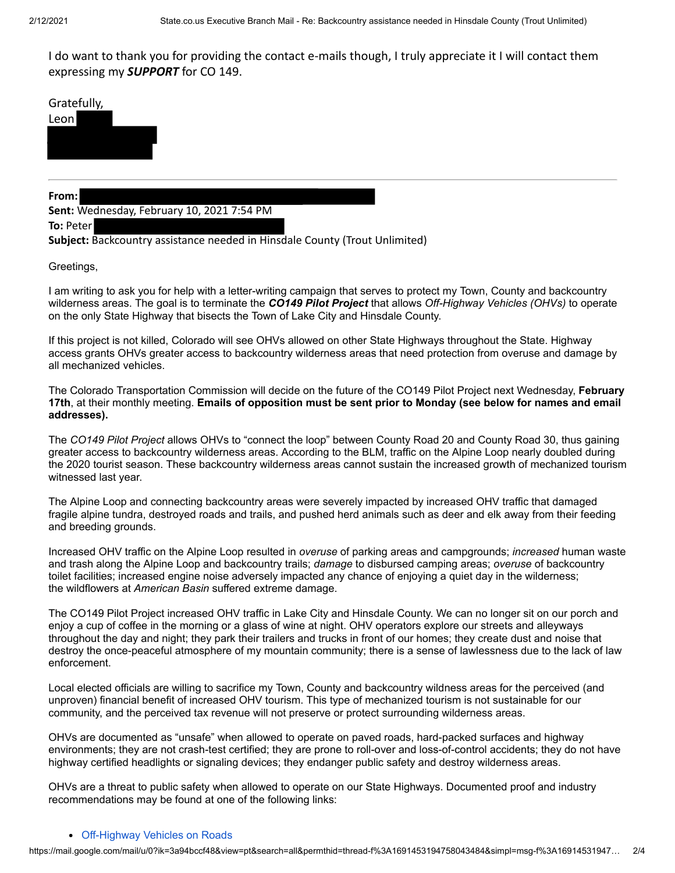I do want to thank you for providing the contact e-mails though, I truly appreciate it I will contact them expressing my *SUPPORT* for CO 149.

Gratefully,



#### **From:**

**Sent:** Wednesday, February 10, 2021 7:54 PM

**To:** Peter

**Subject:** Backcountry assistance needed in Hinsdale County (Trout Unlimited)

Greetings,

I am writing to ask you for help with a letter-writing campaign that serves to protect my Town, County and backcountry wilderness areas. The goal is to terminate the *CO149 Pilot Project* that allows *Off-Highway Vehicles (OHVs)* to operate on the only State Highway that bisects the Town of Lake City and Hinsdale County.

If this project is not killed, Colorado will see OHVs allowed on other State Highways throughout the State. Highway access grants OHVs greater access to backcountry wilderness areas that need protection from overuse and damage by all mechanized vehicles.

The Colorado Transportation Commission will decide on the future of the CO149 Pilot Project next Wednesday, **February 17th**, at their monthly meeting. **Emails of opposition must be sent prior to Monday (see below for names and email addresses).**

The *CO149 Pilot Project* allows OHVs to "connect the loop" between County Road 20 and County Road 30, thus gaining greater access to backcountry wilderness areas. According to the BLM, traffic on the Alpine Loop nearly doubled during the 2020 tourist season. These backcountry wilderness areas cannot sustain the increased growth of mechanized tourism witnessed last year.

The Alpine Loop and connecting backcountry areas were severely impacted by increased OHV traffic that damaged fragile alpine tundra, destroyed roads and trails, and pushed herd animals such as deer and elk away from their feeding and breeding grounds.

Increased OHV traffic on the Alpine Loop resulted in *overuse* of parking areas and campgrounds; *increased* human waste and trash along the Alpine Loop and backcountry trails; *damage* to disbursed camping areas; *overuse* of backcountry toilet facilities; increased engine noise adversely impacted any chance of enjoying a quiet day in the wilderness; the wildflowers at *American Basin* suffered extreme damage.

The CO149 Pilot Project increased OHV traffic in Lake City and Hinsdale County. We can no longer sit on our porch and enjoy a cup of coffee in the morning or a glass of wine at night. OHV operators explore our streets and alleyways throughout the day and night; they park their trailers and trucks in front of our homes; they create dust and noise that destroy the once-peaceful atmosphere of my mountain community; there is a sense of lawlessness due to the lack of law enforcement.

Local elected officials are willing to sacrifice my Town, County and backcountry wildness areas for the perceived (and unproven) financial benefit of increased OHV tourism. This type of mechanized tourism is not sustainable for our community, and the perceived tax revenue will not preserve or protect surrounding wilderness areas.

OHVs are documented as "unsafe" when allowed to operate on paved roads, hard-packed surfaces and highway environments; they are not crash-test certified; they are prone to roll-over and loss-of-control accidents; they do not have highway certified headlights or signaling devices; they endanger public safety and destroy wilderness areas.

OHVs are a threat to public safety when allowed to operate on our State Highways. Documented proof and industry recommendations may be found at one of the following links:

#### [Off-Highway Vehicles on Roads](https://urldefense.com/v3/__https://na01.safelinks.protection.outlook.com/?url=https*3A*2F*2Fconsumerfed.org*2Foff-highway-vehicle-safety*2Foff-highway-vehicles-on-roads*2F&data=04*7C01*7C*7Cd874b6872cea4d5d293808d8ce3866af*7C84df9e7fe9f640afb435aaaaaaaaaaaa*7C1*7C0*7C637486088917134047*7CUnknown*7CTWFpbGZsb3d8eyJWIjoiMC4wLjAwMDAiLCJQIjoiV2luMzIiLCJBTiI6Ik1haWwiLCJXVCI6Mn0*3D*7C1000&sdata=FPaGyGJ8N2j5GsvYpzRO8q4jLLIFZ*2BLX8Tmaun5zmqc*3D&reserved=0__;JSUlJSUlJSUlJSUlJSUlJSUlJQ!!PUG2raq7KiCZwBk!KeGzaJMA4saYO38U6ZY6oKPE95DoMdV9bY_1FOV4rvwV59KzOSu_TenD9SFuKmeglJVNO-YyZw$)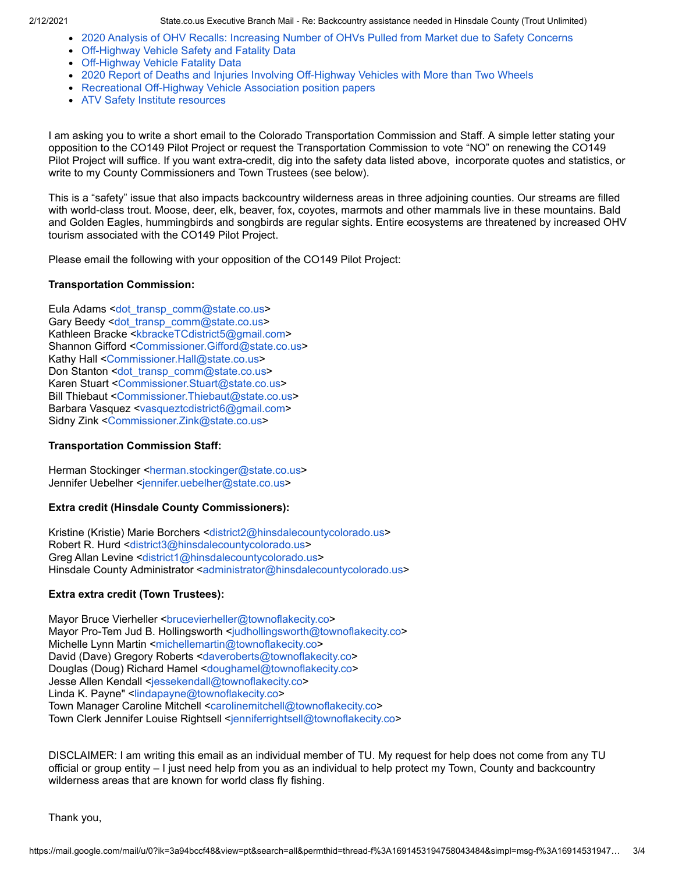- [2020 Analysis of OHV Recalls: Increasing Number of OHVs Pulled from Market due to Safety Concerns](https://urldefense.com/v3/__https://na01.safelinks.protection.outlook.com/?url=https*3A*2F*2Fconsumerfed.org*2Frecall_blog_2020*2F&data=04*7C01*7C*7Cd874b6872cea4d5d293808d8ce3866af*7C84df9e7fe9f640afb435aaaaaaaaaaaa*7C1*7C0*7C637486088917144004*7CUnknown*7CTWFpbGZsb3d8eyJWIjoiMC4wLjAwMDAiLCJQIjoiV2luMzIiLCJBTiI6Ik1haWwiLCJXVCI6Mn0*3D*7C1000&sdata=n15sKdJVAoT5o3lQy9oKzcyBZnwNH1raOn*2BA7f6WCLs*3D&reserved=0__;JSUlJSUlJSUlJSUlJSUlJSUl!!PUG2raq7KiCZwBk!KeGzaJMA4saYO38U6ZY6oKPE95DoMdV9bY_1FOV4rvwV59KzOSu_TenD9SFuKmeglJV_XHotTQ$)
- [Off-Highway Vehicle Safety and Fatality Data](https://urldefense.com/v3/__https://na01.safelinks.protection.outlook.com/?url=https*3A*2F*2Fconsumerfed.org*2Foff-highway-vehicle-safety*2F&data=04*7C01*7C*7Cd874b6872cea4d5d293808d8ce3866af*7C84df9e7fe9f640afb435aaaaaaaaaaaa*7C1*7C0*7C637486088917144004*7CUnknown*7CTWFpbGZsb3d8eyJWIjoiMC4wLjAwMDAiLCJQIjoiV2luMzIiLCJBTiI6Ik1haWwiLCJXVCI6Mn0*3D*7C1000&sdata=QTF3skfd8CJN*2Buadl0M84E11e3U9W3OQ2F9m79SLNMg*3D&reserved=0__;JSUlJSUlJSUlJSUlJSUlJSUl!!PUG2raq7KiCZwBk!KeGzaJMA4saYO38U6ZY6oKPE95DoMdV9bY_1FOV4rvwV59KzOSu_TenD9SFuKmeglJWUbo39cw$)
- [Off-Highway Vehicle Fatality Data](https://urldefense.com/v3/__https://na01.safelinks.protection.outlook.com/?url=https*3A*2F*2Fconsumerfed.org*2Foff-highway-vehicle-safety*2Foff-highway-vehicle-fatality-data*2F&data=04*7C01*7C*7Cd874b6872cea4d5d293808d8ce3866af*7C84df9e7fe9f640afb435aaaaaaaaaaaa*7C1*7C0*7C637486088917153959*7CUnknown*7CTWFpbGZsb3d8eyJWIjoiMC4wLjAwMDAiLCJQIjoiV2luMzIiLCJBTiI6Ik1haWwiLCJXVCI6Mn0*3D*7C1000&sdata=EeMDbX6EUAr15H75v001rtG4DlQOrRta7WuPJLVbFqI*3D&reserved=0__;JSUlJSUlJSUlJSUlJSUlJSUl!!PUG2raq7KiCZwBk!KeGzaJMA4saYO38U6ZY6oKPE95DoMdV9bY_1FOV4rvwV59KzOSu_TenD9SFuKmeglJV5wflAEQ$)
- [2020 Report of Deaths and Injuries Involving Off-Highway Vehicles with More than Two Wheels](https://urldefense.com/v3/__https://na01.safelinks.protection.outlook.com/?url=https*3A*2F*2Fwww.cpsc.gov*2Fs3fs-public*2F2020-Report-of-Deathsand-Injuries-Invovling-Off-HighwayVehicles.pdf*3FczH_I.104OtVwPty_gQLdzWIp1SK5lSn&data=04*7C01*7C*7Cd874b6872cea4d5d293808d8ce3866af*7C84df9e7fe9f640afb435aaaaaaaaaaaa*7C1*7C0*7C637486088917153959*7CUnknown*7CTWFpbGZsb3d8eyJWIjoiMC4wLjAwMDAiLCJQIjoiV2luMzIiLCJBTiI6Ik1haWwiLCJXVCI6Mn0*3D*7C1000&sdata=gWJh7b1pasfQezn1qcanPchyWJhwXwEvi6WFm2MSUPo*3D&reserved=0__;JSUlJSUlJSUlJSUlJSUlJSUl!!PUG2raq7KiCZwBk!KeGzaJMA4saYO38U6ZY6oKPE95DoMdV9bY_1FOV4rvwV59KzOSu_TenD9SFuKmeglJUq4xclEw$)
- [Recreational Off-Highway Vehicle Association position papers](https://urldefense.com/v3/__https://na01.safelinks.protection.outlook.com/?url=https*3A*2F*2Frohva.org*2Fposition-papers-comments*2F&data=04*7C01*7C*7Cd874b6872cea4d5d293808d8ce3866af*7C84df9e7fe9f640afb435aaaaaaaaaaaa*7C1*7C0*7C637486088917153959*7CUnknown*7CTWFpbGZsb3d8eyJWIjoiMC4wLjAwMDAiLCJQIjoiV2luMzIiLCJBTiI6Ik1haWwiLCJXVCI6Mn0*3D*7C1000&sdata=ONSEirfDs8UGaxzJw7uCB3cEv2FKMN2xmbq2BqVPqwE*3D&reserved=0__;JSUlJSUlJSUlJSUlJSUlJSU!!PUG2raq7KiCZwBk!KeGzaJMA4saYO38U6ZY6oKPE95DoMdV9bY_1FOV4rvwV59KzOSu_TenD9SFuKmeglJWAE5KQAQ$)
- [ATV Safety Institute resources](https://urldefense.com/v3/__https://na01.safelinks.protection.outlook.com/?url=https*3A*2F*2Fsvia.org*2Fatv-resources*2F&data=04*7C01*7C*7Cd874b6872cea4d5d293808d8ce3866af*7C84df9e7fe9f640afb435aaaaaaaaaaaa*7C1*7C0*7C637486088917163918*7CUnknown*7CTWFpbGZsb3d8eyJWIjoiMC4wLjAwMDAiLCJQIjoiV2luMzIiLCJBTiI6Ik1haWwiLCJXVCI6Mn0*3D*7C1000&sdata=T1wEc47EymjJZwnX6O1awgMDcijIx*2Fh0suJoE1IeIkM*3D&reserved=0__;JSUlJSUlJSUlJSUlJSUlJSUl!!PUG2raq7KiCZwBk!KeGzaJMA4saYO38U6ZY6oKPE95DoMdV9bY_1FOV4rvwV59KzOSu_TenD9SFuKmeglJX7skhAxA$)

I am asking you to write a short email to the Colorado Transportation Commission and Staff. A simple letter stating your opposition to the CO149 Pilot Project or request the Transportation Commission to vote "NO" on renewing the CO149 Pilot Project will suffice. If you want extra-credit, dig into the safety data listed above, incorporate quotes and statistics, or write to my County Commissioners and Town Trustees (see below).

This is a "safety" issue that also impacts backcountry wilderness areas in three adjoining counties. Our streams are filled with world-class trout. Moose, deer, elk, beaver, fox, coyotes, marmots and other mammals live in these mountains. Bald and Golden Eagles, hummingbirds and songbirds are regular sights. Entire ecosystems are threatened by increased OHV tourism associated with the CO149 Pilot Project.

Please email the following with your opposition of the CO149 Pilot Project:

#### **Transportation Commission:**

Eula Adams <[dot\\_transp\\_comm@state.co.us](mailto:dot_transp_comm@state.co.us)> Gary Beedy <[dot\\_transp\\_comm@state.co.us>](mailto:dot_transp_comm@state.co.us) Kathleen Bracke <[kbrackeTCdistrict5@gmail.com>](mailto:kbrackeTCdistrict5@gmail.com) Shannon Gifford [<Commissioner.Gifford@state.co.us>](mailto:Commissioner.Gifford@state.co.us) Kathy Hall [<Commissioner.Hall@state.co.us](mailto:Commissioner.Hall@state.co.us)> Don Stanton [<dot\\_transp\\_comm@state.co.us>](mailto:dot_transp_comm@state.co.us) Karen Stuart [<Commissioner.Stuart@state.co.us>](mailto:Commissioner.Stuart@state.co.us) Bill Thiebaut <[Commissioner.Thiebaut@state.co.us](mailto:Commissioner.Thiebaut@state.co.us)> Barbara Vasquez <[vasqueztcdistrict6@gmail.com](mailto:vasqueztcdistrict6@gmail.com)> Sidny Zink <[Commissioner.Zink@state.co.us](mailto:Commissioner.Zink@state.co.us)>

# **Transportation Commission Staff:**

Herman Stockinger [<herman.stockinger@state.co.us](mailto:herman.stockinger@state.co.us)> Jennifer Uebelher [<jennifer.uebelher@state.co.us](mailto:jennifer.uebelher@state.co.us)>

# **Extra credit (Hinsdale County Commissioners):**

Kristine (Kristie) Marie Borchers <[district2@hinsdalecountycolorado.us>](mailto:district2@hinsdalecountycolorado.us) Robert R. Hurd <[district3@hinsdalecountycolorado.us>](mailto:district3@hinsdalecountycolorado.us) Greg Allan Levine [<district1@hinsdalecountycolorado.us](mailto:district1@hinsdalecountycolorado.us)> Hinsdale County Administrator <[administrator@hinsdalecountycolorado.us>](mailto:administrator@hinsdalecountycolorado.us)

# **Extra extra credit (Town Trustees):**

Mayor Bruce Vierheller [<brucevierheller@townoflakecity.co>](mailto:brucevierheller@townoflakecity.co) Mayor Pro-Tem Jud B. Hollingsworth [<judhollingsworth@townoflakecity.co>](mailto:judhollingsworth@townoflakecity.co) Michelle Lynn Martin [<michellemartin@townoflakecity.co>](mailto:michellemartin@townoflakecity.co) David (Dave) Gregory Roberts <[daveroberts@townoflakecity.co>](mailto:daveroberts@townoflakecity.co) Douglas (Doug) Richard Hamel <[doughamel@townoflakecity.co](mailto:doughamel@townoflakecity.co)> Jesse Allen Kendall <[jessekendall@townoflakecity.co](mailto:jessekendall@townoflakecity.co)> Linda K. Payne" <[lindapayne@townoflakecity.co](mailto:lindapayne@townoflakecity.co)> Town Manager Caroline Mitchell [<carolinemitchell@townoflakecity.co>](mailto:carolinemitchell@townoflakecity.co) Town Clerk Jennifer Louise Rightsell <[jenniferrightsell@townoflakecity.co](mailto:jenniferrightsell@townoflakecity.co)>

DISCLAIMER: I am writing this email as an individual member of TU. My request for help does not come from any TU official or group entity – I just need help from you as an individual to help protect my Town, County and backcountry wilderness areas that are known for world class fly fishing.

Thank you,